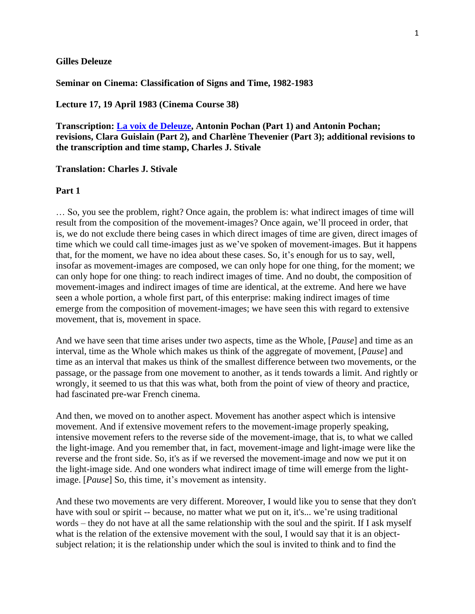### **Gilles Deleuze**

**Seminar on Cinema: Classification of Signs and Time, 1982-1983**

**Lecture 17, 19 April 1983 (Cinema Course 38)**

**Transcription: [La voix de Deleuze,](http://www2.univ-paris8.fr/deleuze/article.php3?id_article=237) Antonin Pochan (Part 1) and Antonin Pochan; revisions, Clara Guislain (Part 2), and Charlène Thevenier (Part 3); additional revisions to the transcription and time stamp, Charles J. Stivale**

### **Translation: Charles J. Stivale**

#### **Part 1**

… So, you see the problem, right? Once again, the problem is: what indirect images of time will result from the composition of the movement-images? Once again, we'll proceed in order, that is, we do not exclude there being cases in which direct images of time are given, direct images of time which we could call time-images just as we've spoken of movement-images. But it happens that, for the moment, we have no idea about these cases. So, it's enough for us to say, well, insofar as movement-images are composed, we can only hope for one thing, for the moment; we can only hope for one thing: to reach indirect images of time. And no doubt, the composition of movement-images and indirect images of time are identical, at the extreme. And here we have seen a whole portion, a whole first part, of this enterprise: making indirect images of time emerge from the composition of movement-images; we have seen this with regard to extensive movement, that is, movement in space.

And we have seen that time arises under two aspects, time as the Whole, [*Pause*] and time as an interval, time as the Whole which makes us think of the aggregate of movement, [*Pause*] and time as an interval that makes us think of the smallest difference between two movements, or the passage, or the passage from one movement to another, as it tends towards a limit. And rightly or wrongly, it seemed to us that this was what, both from the point of view of theory and practice, had fascinated pre-war French cinema.

And then, we moved on to another aspect. Movement has another aspect which is intensive movement. And if extensive movement refers to the movement-image properly speaking, intensive movement refers to the reverse side of the movement-image, that is, to what we called the light-image. And you remember that, in fact, movement-image and light-image were like the reverse and the front side. So, it's as if we reversed the movement-image and now we put it on the light-image side. And one wonders what indirect image of time will emerge from the lightimage. [*Pause*] So, this time, it's movement as intensity.

And these two movements are very different. Moreover, I would like you to sense that they don't have with soul or spirit -- because, no matter what we put on it, it's... we're using traditional words – they do not have at all the same relationship with the soul and the spirit. If I ask myself what is the relation of the extensive movement with the soul, I would say that it is an objectsubject relation; it is the relationship under which the soul is invited to think and to find the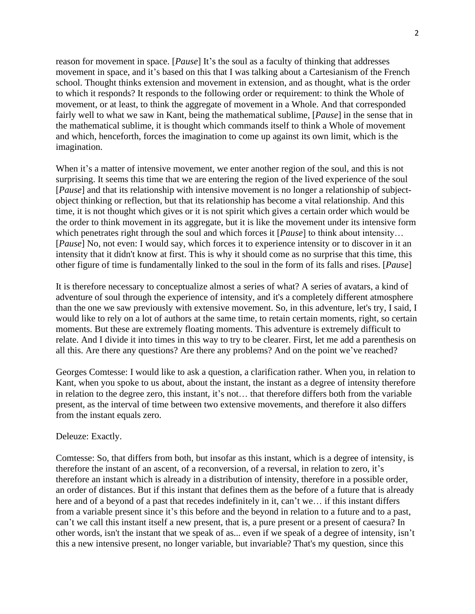reason for movement in space. [*Pause*] It's the soul as a faculty of thinking that addresses movement in space, and it's based on this that I was talking about a Cartesianism of the French school. Thought thinks extension and movement in extension, and as thought, what is the order to which it responds? It responds to the following order or requirement: to think the Whole of movement, or at least, to think the aggregate of movement in a Whole. And that corresponded fairly well to what we saw in Kant, being the mathematical sublime, [*Pause*] in the sense that in the mathematical sublime, it is thought which commands itself to think a Whole of movement and which, henceforth, forces the imagination to come up against its own limit, which is the imagination.

When it's a matter of intensive movement, we enter another region of the soul, and this is not surprising. It seems this time that we are entering the region of the lived experience of the soul [*Pause*] and that its relationship with intensive movement is no longer a relationship of subjectobject thinking or reflection, but that its relationship has become a vital relationship. And this time, it is not thought which gives or it is not spirit which gives a certain order which would be the order to think movement in its aggregate, but it is like the movement under its intensive form which penetrates right through the soul and which forces it [*Pause*] to think about intensity… [*Pause*] No, not even: I would say, which forces it to experience intensity or to discover in it an intensity that it didn't know at first. This is why it should come as no surprise that this time, this other figure of time is fundamentally linked to the soul in the form of its falls and rises. [*Pause*]

It is therefore necessary to conceptualize almost a series of what? A series of avatars, a kind of adventure of soul through the experience of intensity, and it's a completely different atmosphere than the one we saw previously with extensive movement. So, in this adventure, let's try, I said, I would like to rely on a lot of authors at the same time, to retain certain moments, right, so certain moments. But these are extremely floating moments. This adventure is extremely difficult to relate. And I divide it into times in this way to try to be clearer. First, let me add a parenthesis on all this. Are there any questions? Are there any problems? And on the point we've reached?

Georges Comtesse: I would like to ask a question, a clarification rather. When you, in relation to Kant, when you spoke to us about, about the instant, the instant as a degree of intensity therefore in relation to the degree zero, this instant, it's not… that therefore differs both from the variable present, as the interval of time between two extensive movements, and therefore it also differs from the instant equals zero.

### Deleuze: Exactly.

Comtesse: So, that differs from both, but insofar as this instant, which is a degree of intensity, is therefore the instant of an ascent, of a reconversion, of a reversal, in relation to zero, it's therefore an instant which is already in a distribution of intensity, therefore in a possible order, an order of distances. But if this instant that defines them as the before of a future that is already here and of a beyond of a past that recedes indefinitely in it, can't we... if this instant differs from a variable present since it's this before and the beyond in relation to a future and to a past, can't we call this instant itself a new present, that is, a pure present or a present of caesura? In other words, isn't the instant that we speak of as... even if we speak of a degree of intensity, isn't this a new intensive present, no longer variable, but invariable? That's my question, since this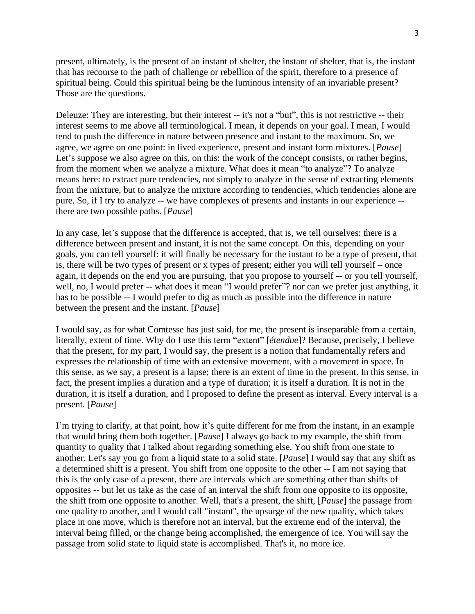present, ultimately, is the present of an instant of shelter, the instant of shelter, that is, the instant that has recourse to the path of challenge or rebellion of the spirit, therefore to a presence of spiritual being. Could this spiritual being be the luminous intensity of an invariable present? Those are the questions.

Deleuze: They are interesting, but their interest -- it's not a "but", this is not restrictive -- their interest seems to me above all terminological. I mean, it depends on your goal. I mean, I would tend to push the difference in nature between presence and instant to the maximum. So, we agree, we agree on one point: in lived experience, present and instant form mixtures. [*Pause*] Let's suppose we also agree on this, on this: the work of the concept consists, or rather begins, from the moment when we analyze a mixture. What does it mean "to analyze"? To analyze means here: to extract pure tendencies, not simply to analyze in the sense of extracting elements from the mixture, but to analyze the mixture according to tendencies, which tendencies alone are pure. So, if I try to analyze -- we have complexes of presents and instants in our experience - there are two possible paths. [*Pause*]

In any case, let's suppose that the difference is accepted, that is, we tell ourselves: there is a difference between present and instant, it is not the same concept. On this, depending on your goals, you can tell yourself: it will finally be necessary for the instant to be a type of present, that is, there will be two types of present or x types of present; either you will tell yourself – once again, it depends on the end you are pursuing, that you propose to yourself -- or you tell yourself, well, no, I would prefer -- what does it mean "I would prefer"? nor can we prefer just anything, it has to be possible -- I would prefer to dig as much as possible into the difference in nature between the present and the instant. [*Pause*]

I would say, as for what Comtesse has just said, for me, the present is inseparable from a certain, literally, extent of time. Why do I use this term "extent" [*étendue*]? Because, precisely, I believe that the present, for my part, I would say, the present is a notion that fundamentally refers and expresses the relationship of time with an extensive movement, with a movement in space. In this sense, as we say, a present is a lapse; there is an extent of time in the present. In this sense, in fact, the present implies a duration and a type of duration; it is itself a duration. It is not in the duration, it is itself a duration, and I proposed to define the present as interval. Every interval is a present. [*Pause*]

I'm trying to clarify, at that point, how it's quite different for me from the instant, in an example that would bring them both together. [*Pause*] I always go back to my example, the shift from quantity to quality that I talked about regarding something else. You shift from one state to another. Let's say you go from a liquid state to a solid state. [*Pause*] I would say that any shift as a determined shift is a present. You shift from one opposite to the other -- I am not saying that this is the only case of a present, there are intervals which are something other than shifts of opposites -- but let us take as the case of an interval the shift from one opposite to its opposite, the shift from one opposite to another. Well, that's a present, the shift, [*Pause*] the passage from one quality to another, and I would call "instant", the upsurge of the new quality, which takes place in one move, which is therefore not an interval, but the extreme end of the interval, the interval being filled, or the change being accomplished, the emergence of ice. You will say the passage from solid state to liquid state is accomplished. That's it, no more ice.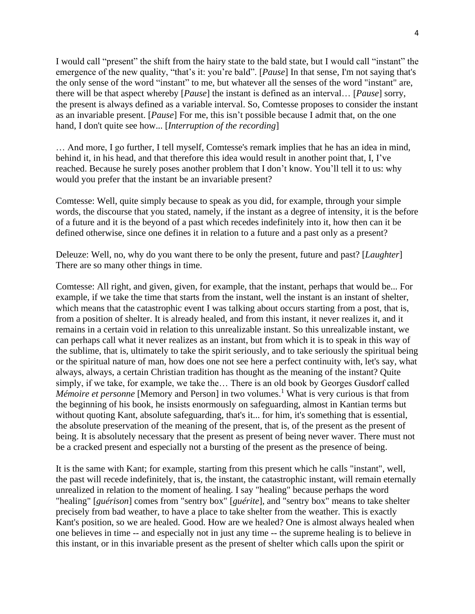I would call "present" the shift from the hairy state to the bald state, but I would call "instant" the emergence of the new quality, "that's it: you're bald". [*Pause*] In that sense, I'm not saying that's the only sense of the word "instant" to me, but whatever all the senses of the word "instant" are, there will be that aspect whereby [*Pause*] the instant is defined as an interval… [*Pause*] sorry, the present is always defined as a variable interval. So, Comtesse proposes to consider the instant as an invariable present. [*Pause*] For me, this isn't possible because I admit that, on the one hand, I don't quite see how... [*Interruption of the recording*]

… And more, I go further, I tell myself, Comtesse's remark implies that he has an idea in mind, behind it, in his head, and that therefore this idea would result in another point that, I, I've reached. Because he surely poses another problem that I don't know. You'll tell it to us: why would you prefer that the instant be an invariable present?

Comtesse: Well, quite simply because to speak as you did, for example, through your simple words, the discourse that you stated, namely, if the instant as a degree of intensity, it is the before of a future and it is the beyond of a past which recedes indefinitely into it, how then can it be defined otherwise, since one defines it in relation to a future and a past only as a present?

Deleuze: Well, no, why do you want there to be only the present, future and past? [*Laughter*] There are so many other things in time.

Comtesse: All right, and given, given, for example, that the instant, perhaps that would be... For example, if we take the time that starts from the instant, well the instant is an instant of shelter, which means that the catastrophic event I was talking about occurs starting from a post, that is, from a position of shelter. It is already healed, and from this instant, it never realizes it, and it remains in a certain void in relation to this unrealizable instant. So this unrealizable instant, we can perhaps call what it never realizes as an instant, but from which it is to speak in this way of the sublime, that is, ultimately to take the spirit seriously, and to take seriously the spiritual being or the spiritual nature of man, how does one not see here a perfect continuity with, let's say, what always, always, a certain Christian tradition has thought as the meaning of the instant? Quite simply, if we take, for example, we take the… There is an old book by Georges Gusdorf called *Mémoire et personne* [Memory and Person] in two volumes.<sup>1</sup> What is very curious is that from the beginning of his book, he insists enormously on safeguarding, almost in Kantian terms but without quoting Kant, absolute safeguarding, that's it... for him, it's something that is essential, the absolute preservation of the meaning of the present, that is, of the present as the present of being. It is absolutely necessary that the present as present of being never waver. There must not be a cracked present and especially not a bursting of the present as the presence of being.

It is the same with Kant; for example, starting from this present which he calls "instant", well, the past will recede indefinitely, that is, the instant, the catastrophic instant, will remain eternally unrealized in relation to the moment of healing. I say "healing" because perhaps the word "healing" [*guérison*] comes from "sentry box" [*guérite*], and "sentry box" means to take shelter precisely from bad weather, to have a place to take shelter from the weather. This is exactly Kant's position, so we are healed. Good. How are we healed? One is almost always healed when one believes in time -- and especially not in just any time -- the supreme healing is to believe in this instant, or in this invariable present as the present of shelter which calls upon the spirit or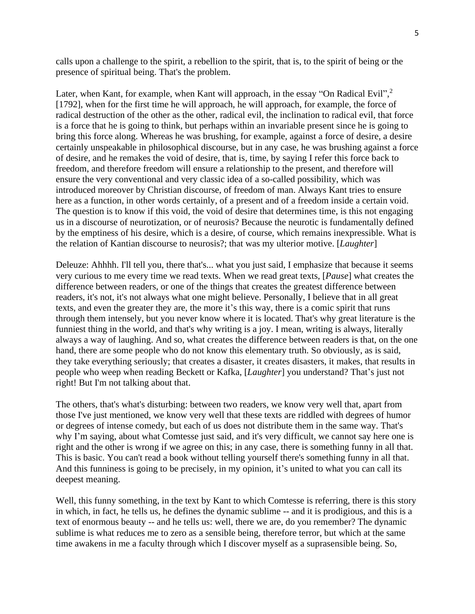calls upon a challenge to the spirit, a rebellion to the spirit, that is, to the spirit of being or the presence of spiritual being. That's the problem.

Later, when Kant, for example, when Kant will approach, in the essay "On Radical Evil",<sup>2</sup> [1792], when for the first time he will approach, he will approach, for example, the force of radical destruction of the other as the other, radical evil, the inclination to radical evil, that force is a force that he is going to think, but perhaps within an invariable present since he is going to bring this force along. Whereas he was brushing, for example, against a force of desire, a desire certainly unspeakable in philosophical discourse, but in any case, he was brushing against a force of desire, and he remakes the void of desire, that is, time, by saying I refer this force back to freedom, and therefore freedom will ensure a relationship to the present, and therefore will ensure the very conventional and very classic idea of a so-called possibility, which was introduced moreover by Christian discourse, of freedom of man. Always Kant tries to ensure here as a function, in other words certainly, of a present and of a freedom inside a certain void. The question is to know if this void, the void of desire that determines time, is this not engaging us in a discourse of neurotization, or of neurosis? Because the neurotic is fundamentally defined by the emptiness of his desire, which is a desire, of course, which remains inexpressible. What is the relation of Kantian discourse to neurosis?; that was my ulterior motive. [*Laughter*]

Deleuze: Ahhhh. I'll tell you, there that's... what you just said, I emphasize that because it seems very curious to me every time we read texts. When we read great texts, [*Pause*] what creates the difference between readers, or one of the things that creates the greatest difference between readers, it's not, it's not always what one might believe. Personally, I believe that in all great texts, and even the greater they are, the more it's this way, there is a comic spirit that runs through them intensely, but you never know where it is located. That's why great literature is the funniest thing in the world, and that's why writing is a joy. I mean, writing is always, literally always a way of laughing. And so, what creates the difference between readers is that, on the one hand, there are some people who do not know this elementary truth. So obviously, as is said, they take everything seriously; that creates a disaster, it creates disasters, it makes, that results in people who weep when reading Beckett or Kafka, [*Laughter*] you understand? That's just not right! But I'm not talking about that.

The others, that's what's disturbing: between two readers, we know very well that, apart from those I've just mentioned, we know very well that these texts are riddled with degrees of humor or degrees of intense comedy, but each of us does not distribute them in the same way. That's why I'm saying, about what Comtesse just said, and it's very difficult, we cannot say here one is right and the other is wrong if we agree on this; in any case, there is something funny in all that. This is basic. You can't read a book without telling yourself there's something funny in all that. And this funniness is going to be precisely, in my opinion, it's united to what you can call its deepest meaning.

Well, this funny something, in the text by Kant to which Comtesse is referring, there is this story in which, in fact, he tells us, he defines the dynamic sublime -- and it is prodigious, and this is a text of enormous beauty -- and he tells us: well, there we are, do you remember? The dynamic sublime is what reduces me to zero as a sensible being, therefore terror, but which at the same time awakens in me a faculty through which I discover myself as a suprasensible being. So,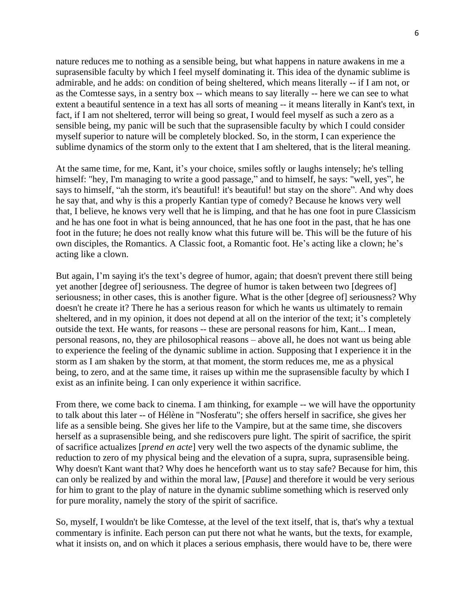nature reduces me to nothing as a sensible being, but what happens in nature awakens in me a suprasensible faculty by which I feel myself dominating it. This idea of the dynamic sublime is admirable, and he adds: on condition of being sheltered, which means literally -- if I am not, or as the Comtesse says, in a sentry box -- which means to say literally -- here we can see to what extent a beautiful sentence in a text has all sorts of meaning -- it means literally in Kant's text, in fact, if I am not sheltered, terror will being so great, I would feel myself as such a zero as a sensible being, my panic will be such that the suprasensible faculty by which I could consider myself superior to nature will be completely blocked. So, in the storm, I can experience the sublime dynamics of the storm only to the extent that I am sheltered, that is the literal meaning.

At the same time, for me, Kant, it's your choice, smiles softly or laughs intensely; he's telling himself: "hey, I'm managing to write a good passage," and to himself, he says: "well, yes", he says to himself, "ah the storm, it's beautiful! it's beautiful! but stay on the shore". And why does he say that, and why is this a properly Kantian type of comedy? Because he knows very well that, I believe, he knows very well that he is limping, and that he has one foot in pure Classicism and he has one foot in what is being announced, that he has one foot in the past, that he has one foot in the future; he does not really know what this future will be. This will be the future of his own disciples, the Romantics. A Classic foot, a Romantic foot. He's acting like a clown; he's acting like a clown.

But again, I'm saying it's the text's degree of humor, again; that doesn't prevent there still being yet another [degree of] seriousness. The degree of humor is taken between two [degrees of] seriousness; in other cases, this is another figure. What is the other [degree of] seriousness? Why doesn't he create it? There he has a serious reason for which he wants us ultimately to remain sheltered, and in my opinion, it does not depend at all on the interior of the text; it's completely outside the text. He wants, for reasons -- these are personal reasons for him, Kant... I mean, personal reasons, no, they are philosophical reasons – above all, he does not want us being able to experience the feeling of the dynamic sublime in action. Supposing that I experience it in the storm as I am shaken by the storm, at that moment, the storm reduces me, me as a physical being, to zero, and at the same time, it raises up within me the suprasensible faculty by which I exist as an infinite being. I can only experience it within sacrifice.

From there, we come back to cinema. I am thinking, for example -- we will have the opportunity to talk about this later -- of Hélène in "Nosferatu"; she offers herself in sacrifice, she gives her life as a sensible being. She gives her life to the Vampire, but at the same time, she discovers herself as a suprasensible being, and she rediscovers pure light. The spirit of sacrifice, the spirit of sacrifice actualizes [*prend en acte*] very well the two aspects of the dynamic sublime, the reduction to zero of my physical being and the elevation of a supra, supra, suprasensible being. Why doesn't Kant want that? Why does he henceforth want us to stay safe? Because for him, this can only be realized by and within the moral law, [*Pause*] and therefore it would be very serious for him to grant to the play of nature in the dynamic sublime something which is reserved only for pure morality, namely the story of the spirit of sacrifice.

So, myself, I wouldn't be like Comtesse, at the level of the text itself, that is, that's why a textual commentary is infinite. Each person can put there not what he wants, but the texts, for example, what it insists on, and on which it places a serious emphasis, there would have to be, there were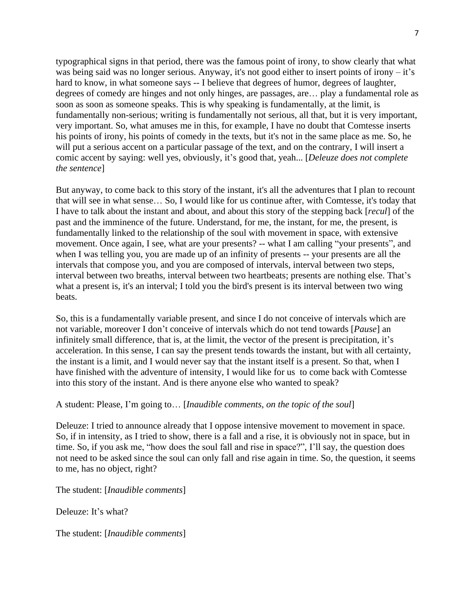typographical signs in that period, there was the famous point of irony, to show clearly that what was being said was no longer serious. Anyway, it's not good either to insert points of irony – it's hard to know, in what someone says -- I believe that degrees of humor, degrees of laughter, degrees of comedy are hinges and not only hinges, are passages, are... play a fundamental role as soon as soon as someone speaks. This is why speaking is fundamentally, at the limit, is fundamentally non-serious; writing is fundamentally not serious, all that, but it is very important, very important. So, what amuses me in this, for example, I have no doubt that Comtesse inserts his points of irony, his points of comedy in the texts, but it's not in the same place as me. So, he will put a serious accent on a particular passage of the text, and on the contrary, I will insert a comic accent by saying: well yes, obviously, it's good that, yeah... [*Deleuze does not complete the sentence*]

But anyway, to come back to this story of the instant, it's all the adventures that I plan to recount that will see in what sense… So, I would like for us continue after, with Comtesse, it's today that I have to talk about the instant and about, and about this story of the stepping back [*recul*] of the past and the imminence of the future. Understand, for me, the instant, for me, the present, is fundamentally linked to the relationship of the soul with movement in space, with extensive movement. Once again, I see, what are your presents? -- what I am calling "your presents", and when I was telling you, you are made up of an infinity of presents -- your presents are all the intervals that compose you, and you are composed of intervals, interval between two steps, interval between two breaths, interval between two heartbeats; presents are nothing else. That's what a present is, it's an interval; I told you the bird's present is its interval between two wing beats.

So, this is a fundamentally variable present, and since I do not conceive of intervals which are not variable, moreover I don't conceive of intervals which do not tend towards [*Pause*] an infinitely small difference, that is, at the limit, the vector of the present is precipitation, it's acceleration. In this sense, I can say the present tends towards the instant, but with all certainty, the instant is a limit, and I would never say that the instant itself is a present. So that, when I have finished with the adventure of intensity, I would like for us to come back with Comtesse into this story of the instant. And is there anyone else who wanted to speak?

## A student: Please, I'm going to… [*Inaudible comments, on the topic of the soul*]

Deleuze: I tried to announce already that I oppose intensive movement to movement in space. So, if in intensity, as I tried to show, there is a fall and a rise, it is obviously not in space, but in time. So, if you ask me, "how does the soul fall and rise in space?", I'll say, the question does not need to be asked since the soul can only fall and rise again in time. So, the question, it seems to me, has no object, right?

The student: [*Inaudible comments*]

Deleuze: It's what?

The student: [*Inaudible comments*]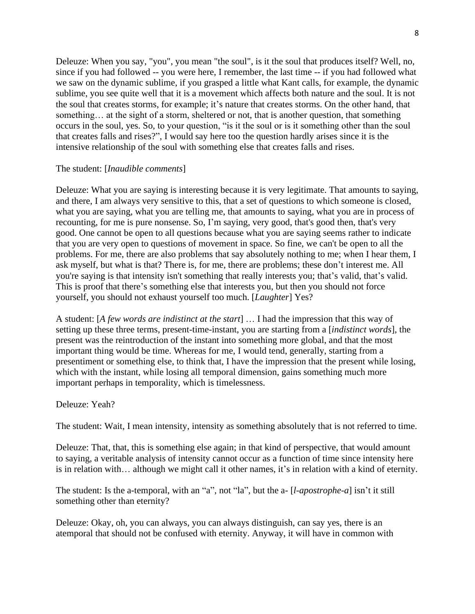Deleuze: When you say, "you", you mean "the soul", is it the soul that produces itself? Well, no, since if you had followed -- you were here, I remember, the last time -- if you had followed what we saw on the dynamic sublime, if you grasped a little what Kant calls, for example, the dynamic sublime, you see quite well that it is a movement which affects both nature and the soul. It is not the soul that creates storms, for example; it's nature that creates storms. On the other hand, that something... at the sight of a storm, sheltered or not, that is another question, that something occurs in the soul, yes. So, to your question, "is it the soul or is it something other than the soul that creates falls and rises?", I would say here too the question hardly arises since it is the intensive relationship of the soul with something else that creates falls and rises.

# The student: [*Inaudible comments*]

Deleuze: What you are saying is interesting because it is very legitimate. That amounts to saying, and there, I am always very sensitive to this, that a set of questions to which someone is closed, what you are saying, what you are telling me, that amounts to saying, what you are in process of recounting, for me is pure nonsense. So, I'm saying, very good, that's good then, that's very good. One cannot be open to all questions because what you are saying seems rather to indicate that you are very open to questions of movement in space. So fine, we can't be open to all the problems. For me, there are also problems that say absolutely nothing to me; when I hear them, I ask myself, but what is that? There is, for me, there are problems; these don't interest me. All you're saying is that intensity isn't something that really interests you; that's valid, that's valid. This is proof that there's something else that interests you, but then you should not force yourself, you should not exhaust yourself too much. [*Laughter*] Yes?

A student: [*A few words are indistinct at the start*] … I had the impression that this way of setting up these three terms, present-time-instant, you are starting from a [*indistinct words*], the present was the reintroduction of the instant into something more global, and that the most important thing would be time. Whereas for me, I would tend, generally, starting from a presentiment or something else, to think that, I have the impression that the present while losing, which with the instant, while losing all temporal dimension, gains something much more important perhaps in temporality, which is timelessness.

## Deleuze: Yeah?

The student: Wait, I mean intensity, intensity as something absolutely that is not referred to time.

Deleuze: That, that, this is something else again; in that kind of perspective, that would amount to saying, a veritable analysis of intensity cannot occur as a function of time since intensity here is in relation with… although we might call it other names, it's in relation with a kind of eternity.

The student: Is the a-temporal, with an "a", not "la", but the a- [*l-apostrophe-a*] isn't it still something other than eternity?

Deleuze: Okay, oh, you can always, you can always distinguish, can say yes, there is an atemporal that should not be confused with eternity. Anyway, it will have in common with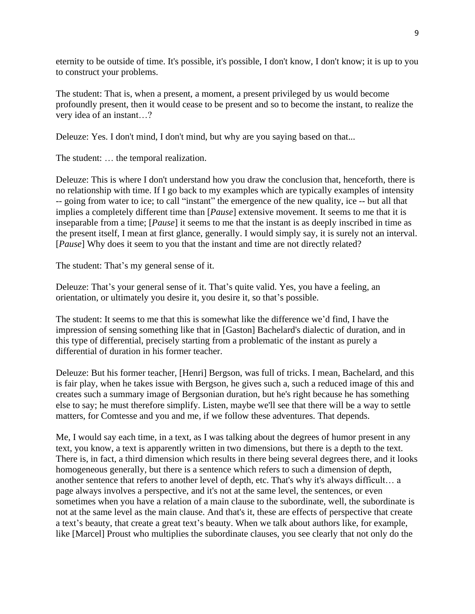eternity to be outside of time. It's possible, it's possible, I don't know, I don't know; it is up to you to construct your problems.

The student: That is, when a present, a moment, a present privileged by us would become profoundly present, then it would cease to be present and so to become the instant, to realize the very idea of an instant…?

Deleuze: Yes. I don't mind, I don't mind, but why are you saying based on that...

The student: … the temporal realization.

Deleuze: This is where I don't understand how you draw the conclusion that, henceforth, there is no relationship with time. If I go back to my examples which are typically examples of intensity -- going from water to ice; to call "instant" the emergence of the new quality, ice -- but all that implies a completely different time than [*Pause*] extensive movement. It seems to me that it is inseparable from a time; [*Pause*] it seems to me that the instant is as deeply inscribed in time as the present itself, I mean at first glance, generally. I would simply say, it is surely not an interval. [*Pause*] Why does it seem to you that the instant and time are not directly related?

The student: That's my general sense of it.

Deleuze: That's your general sense of it. That's quite valid. Yes, you have a feeling, an orientation, or ultimately you desire it, you desire it, so that's possible.

The student: It seems to me that this is somewhat like the difference we'd find, I have the impression of sensing something like that in [Gaston] Bachelard's dialectic of duration, and in this type of differential, precisely starting from a problematic of the instant as purely a differential of duration in his former teacher.

Deleuze: But his former teacher, [Henri] Bergson, was full of tricks. I mean, Bachelard, and this is fair play, when he takes issue with Bergson, he gives such a, such a reduced image of this and creates such a summary image of Bergsonian duration, but he's right because he has something else to say; he must therefore simplify. Listen, maybe we'll see that there will be a way to settle matters, for Comtesse and you and me, if we follow these adventures. That depends.

Me, I would say each time, in a text, as I was talking about the degrees of humor present in any text, you know, a text is apparently written in two dimensions, but there is a depth to the text. There is, in fact, a third dimension which results in there being several degrees there, and it looks homogeneous generally, but there is a sentence which refers to such a dimension of depth, another sentence that refers to another level of depth, etc. That's why it's always difficult… a page always involves a perspective, and it's not at the same level, the sentences, or even sometimes when you have a relation of a main clause to the subordinate, well, the subordinate is not at the same level as the main clause. And that's it, these are effects of perspective that create a text's beauty, that create a great text's beauty. When we talk about authors like, for example, like [Marcel] Proust who multiplies the subordinate clauses, you see clearly that not only do the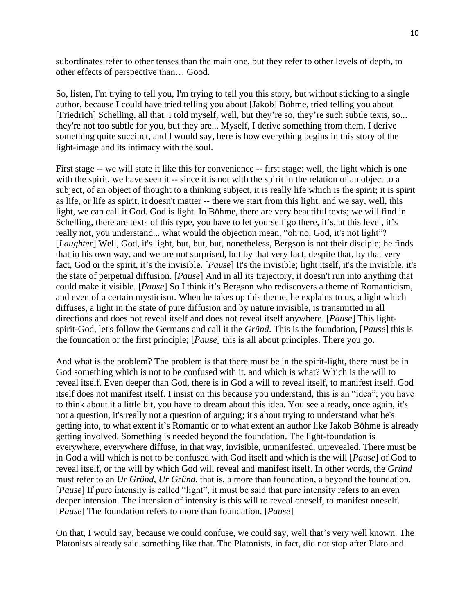subordinates refer to other tenses than the main one, but they refer to other levels of depth, to other effects of perspective than… Good.

So, listen, I'm trying to tell you, I'm trying to tell you this story, but without sticking to a single author, because I could have tried telling you about [Jakob] Böhme, tried telling you about [Friedrich] Schelling, all that. I told myself, well, but they're so, they're such subtle texts, so... they're not too subtle for you, but they are... Myself, I derive something from them, I derive something quite succinct, and I would say, here is how everything begins in this story of the light-image and its intimacy with the soul.

First stage -- we will state it like this for convenience -- first stage: well, the light which is one with the spirit, we have seen it -- since it is not with the spirit in the relation of an object to a subject, of an object of thought to a thinking subject, it is really life which is the spirit; it is spirit as life, or life as spirit, it doesn't matter -- there we start from this light, and we say, well, this light, we can call it God. God is light. In Böhme, there are very beautiful texts; we will find in Schelling, there are texts of this type, you have to let yourself go there, it's, at this level, it's really not, you understand... what would the objection mean, "oh no, God, it's not light"? [*Laughter*] Well, God, it's light, but, but, but, nonetheless, Bergson is not their disciple; he finds that in his own way, and we are not surprised, but by that very fact, despite that, by that very fact, God or the spirit, it's the invisible. [*Pause*] It's the invisible; light itself, it's the invisible, it's the state of perpetual diffusion. [*Pause*] And in all its trajectory, it doesn't run into anything that could make it visible. [*Pause*] So I think it's Bergson who rediscovers a theme of Romanticism, and even of a certain mysticism. When he takes up this theme, he explains to us, a light which diffuses, a light in the state of pure diffusion and by nature invisible, is transmitted in all directions and does not reveal itself and does not reveal itself anywhere. [*Pause*] This lightspirit-God, let's follow the Germans and call it the *Gründ*. This is the foundation, [*Pause*] this is the foundation or the first principle; [*Pause*] this is all about principles. There you go.

And what is the problem? The problem is that there must be in the spirit-light, there must be in God something which is not to be confused with it, and which is what? Which is the will to reveal itself. Even deeper than God, there is in God a will to reveal itself, to manifest itself. God itself does not manifest itself. I insist on this because you understand, this is an "idea"; you have to think about it a little bit, you have to dream about this idea. You see already, once again, it's not a question, it's really not a question of arguing; it's about trying to understand what he's getting into, to what extent it's Romantic or to what extent an author like Jakob Böhme is already getting involved. Something is needed beyond the foundation. The light-foundation is everywhere, everywhere diffuse, in that way, invisible, unmanifested, unrevealed. There must be in God a will which is not to be confused with God itself and which is the will [*Pause*] of God to reveal itself, or the will by which God will reveal and manifest itself. In other words, the *Gründ* must refer to an *Ur Gründ*, *Ur Gründ,* that is, a more than foundation, a beyond the foundation. [*Pause*] If pure intensity is called "light", it must be said that pure intensity refers to an even deeper intension. The intension of intensity is this will to reveal oneself, to manifest oneself. [*Pause*] The foundation refers to more than foundation. [*Pause*]

On that, I would say, because we could confuse, we could say, well that's very well known. The Platonists already said something like that. The Platonists, in fact, did not stop after Plato and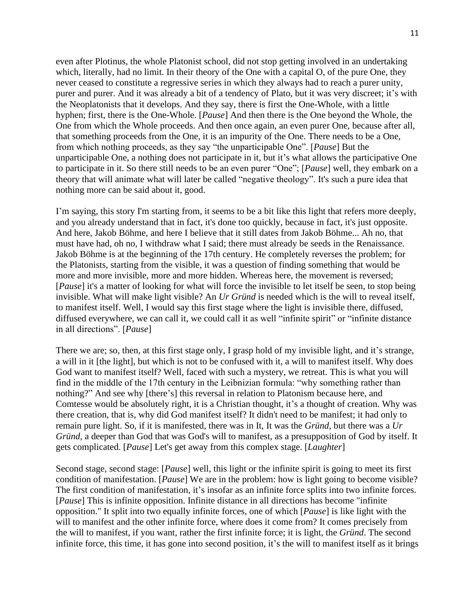even after Plotinus, the whole Platonist school, did not stop getting involved in an undertaking which, literally, had no limit. In their theory of the One with a capital O, of the pure One, they never ceased to constitute a regressive series in which they always had to reach a purer unity, purer and purer. And it was already a bit of a tendency of Plato, but it was very discreet; it's with the Neoplatonists that it develops. And they say, there is first the One-Whole, with a little hyphen; first, there is the One-Whole. [*Pause*] And then there is the One beyond the Whole, the One from which the Whole proceeds. And then once again, an even purer One, because after all, that something proceeds from the One, it is an impurity of the One. There needs to be a One, from which nothing proceeds, as they say "the unparticipable One". [*Pause*] But the unparticipable One, a nothing does not participate in it, but it's what allows the participative One to participate in it. So there still needs to be an even purer "One"; [*Pause*] well, they embark on a theory that will animate what will later be called "negative theology". It's such a pure idea that nothing more can be said about it, good.

I'm saying, this story I'm starting from, it seems to be a bit like this light that refers more deeply, and you already understand that in fact, it's done too quickly, because in fact, it's just opposite. And here, Jakob Böhme, and here I believe that it still dates from Jakob Böhme... Ah no, that must have had, oh no, I withdraw what I said; there must already be seeds in the Renaissance. Jakob Böhme is at the beginning of the 17th century. He completely reverses the problem; for the Platonists, starting from the visible, it was a question of finding something that would be more and more invisible, more and more hidden. Whereas here, the movement is reversed; [*Pause*] it's a matter of looking for what will force the invisible to let itself be seen, to stop being invisible. What will make light visible? An *Ur Gründ* is needed which is the will to reveal itself, to manifest itself. Well, I would say this first stage where the light is invisible there, diffused, diffused everywhere, we can call it, we could call it as well "infinite spirit" or "infinite distance in all directions". [*Pause*]

There we are; so, then, at this first stage only, I grasp hold of my invisible light, and it's strange, a will in it [the light], but which is not to be confused with it, a will to manifest itself. Why does God want to manifest itself? Well, faced with such a mystery, we retreat. This is what you will find in the middle of the 17th century in the Leibnizian formula: "why something rather than nothing?" And see why [there's] this reversal in relation to Platonism because here, and Comtesse would be absolutely right, it is a Christian thought, it's a thought of creation. Why was there creation, that is, why did God manifest itself? It didn't need to be manifest; it had only to remain pure light. So, if it is manifested, there was in It, It was the *Gründ*, but there was a *Ur Gründ*, a deeper than God that was God's will to manifest, as a presupposition of God by itself. It gets complicated. [*Pause*] Let's get away from this complex stage. [*Laughter*]

Second stage, second stage: [*Pause*] well, this light or the infinite spirit is going to meet its first condition of manifestation. [*Pause*] We are in the problem: how is light going to become visible? The first condition of manifestation, it's insofar as an infinite force splits into two infinite forces. [*Pause*] This is infinite opposition. Infinite distance in all directions has become "infinite opposition." It split into two equally infinite forces, one of which [*Pause*] is like light with the will to manifest and the other infinite force, where does it come from? It comes precisely from the will to manifest, if you want, rather the first infinite force; it is light, the *Gründ*. The second infinite force, this time, it has gone into second position, it's the will to manifest itself as it brings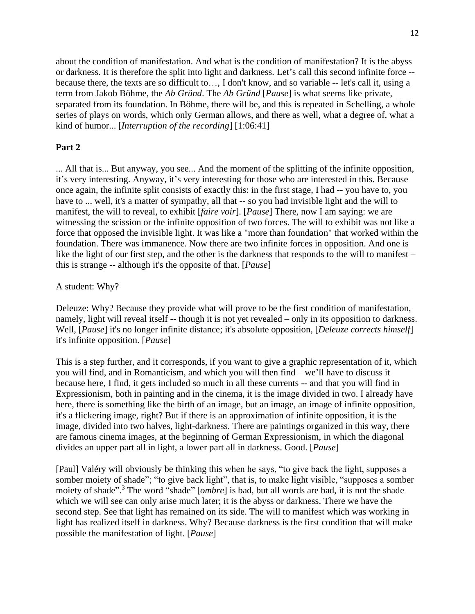about the condition of manifestation. And what is the condition of manifestation? It is the abyss or darkness. It is therefore the split into light and darkness. Let's call this second infinite force - because there, the texts are so difficult to…, I don't know, and so variable -- let's call it, using a term from Jakob Böhme, the *Ab Gründ*. The *Ab Gründ* [*Pause*] is what seems like private, separated from its foundation. In Böhme, there will be, and this is repeated in Schelling, a whole series of plays on words, which only German allows, and there as well, what a degree of, what a kind of humor... [*Interruption of the recording*] [1:06:41]

## **Part 2**

... All that is... But anyway, you see... And the moment of the splitting of the infinite opposition, it's very interesting. Anyway, it's very interesting for those who are interested in this. Because once again, the infinite split consists of exactly this: in the first stage, I had -- you have to, you have to ... well, it's a matter of sympathy, all that -- so you had invisible light and the will to manifest, the will to reveal, to exhibit [*faire voir*]. [*Pause*] There, now I am saying: we are witnessing the scission or the infinite opposition of two forces. The will to exhibit was not like a force that opposed the invisible light. It was like a "more than foundation" that worked within the foundation. There was immanence. Now there are two infinite forces in opposition. And one is like the light of our first step, and the other is the darkness that responds to the will to manifest – this is strange -- although it's the opposite of that. [*Pause*]

### A student: Why?

Deleuze: Why? Because they provide what will prove to be the first condition of manifestation, namely, light will reveal itself -- though it is not yet revealed – only in its opposition to darkness. Well, [*Pause*] it's no longer infinite distance; it's absolute opposition, [*Deleuze corrects himself*] it's infinite opposition. [*Pause*]

This is a step further, and it corresponds, if you want to give a graphic representation of it, which you will find, and in Romanticism, and which you will then find – we'll have to discuss it because here, I find, it gets included so much in all these currents -- and that you will find in Expressionism, both in painting and in the cinema, it is the image divided in two. I already have here, there is something like the birth of an image, but an image, an image of infinite opposition, it's a flickering image, right? But if there is an approximation of infinite opposition, it is the image, divided into two halves, light-darkness. There are paintings organized in this way, there are famous cinema images, at the beginning of German Expressionism, in which the diagonal divides an upper part all in light, a lower part all in darkness. Good. [*Pause*]

[Paul] Valéry will obviously be thinking this when he says, "to give back the light, supposes a somber moiety of shade"; "to give back light", that is, to make light visible, "supposes a somber moiety of shade". <sup>3</sup> The word "shade" [*ombre*] is bad, but all words are bad, it is not the shade which we will see can only arise much later; it is the abyss or darkness. There we have the second step. See that light has remained on its side. The will to manifest which was working in light has realized itself in darkness. Why? Because darkness is the first condition that will make possible the manifestation of light. [*Pause*]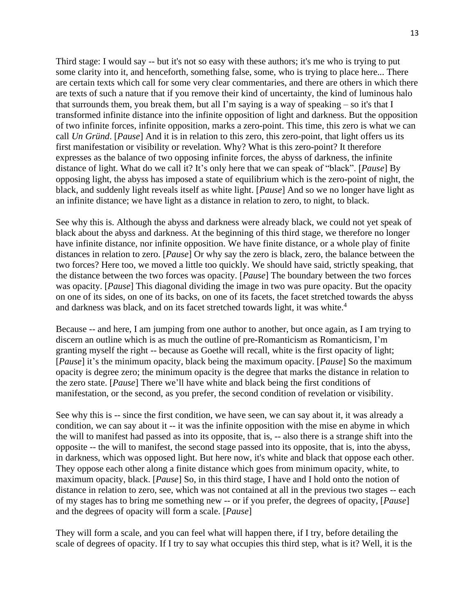Third stage: I would say -- but it's not so easy with these authors; it's me who is trying to put some clarity into it, and henceforth, something false, some, who is trying to place here... There are certain texts which call for some very clear commentaries, and there are others in which there are texts of such a nature that if you remove their kind of uncertainty, the kind of luminous halo that surrounds them, you break them, but all I'm saying is a way of speaking – so it's that I transformed infinite distance into the infinite opposition of light and darkness. But the opposition of two infinite forces, infinite opposition, marks a zero-point. This time, this zero is what we can call *Un Gründ*. [*Pause*] And it is in relation to this zero, this zero-point, that light offers us its first manifestation or visibility or revelation. Why? What is this zero-point? It therefore expresses as the balance of two opposing infinite forces, the abyss of darkness, the infinite distance of light. What do we call it? It's only here that we can speak of "black". [*Pause*] By opposing light, the abyss has imposed a state of equilibrium which is the zero-point of night, the black, and suddenly light reveals itself as white light. [*Pause*] And so we no longer have light as an infinite distance; we have light as a distance in relation to zero, to night, to black.

See why this is. Although the abyss and darkness were already black, we could not yet speak of black about the abyss and darkness. At the beginning of this third stage, we therefore no longer have infinite distance, nor infinite opposition. We have finite distance, or a whole play of finite distances in relation to zero. [*Pause*] Or why say the zero is black, zero, the balance between the two forces? Here too, we moved a little too quickly. We should have said, strictly speaking, that the distance between the two forces was opacity. [*Pause*] The boundary between the two forces was opacity. [*Pause*] This diagonal dividing the image in two was pure opacity. But the opacity on one of its sides, on one of its backs, on one of its facets, the facet stretched towards the abyss and darkness was black, and on its facet stretched towards light, it was white.<sup>4</sup>

Because -- and here, I am jumping from one author to another, but once again, as I am trying to discern an outline which is as much the outline of pre-Romanticism as Romanticism, I'm granting myself the right -- because as Goethe will recall, white is the first opacity of light; [*Pause*] it's the minimum opacity, black being the maximum opacity. [*Pause*] So the maximum opacity is degree zero; the minimum opacity is the degree that marks the distance in relation to the zero state. [*Pause*] There we'll have white and black being the first conditions of manifestation, or the second, as you prefer, the second condition of revelation or visibility.

See why this is -- since the first condition, we have seen, we can say about it, it was already a condition, we can say about it -- it was the infinite opposition with the mise en abyme in which the will to manifest had passed as into its opposite, that is, -- also there is a strange shift into the opposite -- the will to manifest, the second stage passed into its opposite, that is, into the abyss, in darkness, which was opposed light. But here now, it's white and black that oppose each other. They oppose each other along a finite distance which goes from minimum opacity, white, to maximum opacity, black. [*Pause*] So, in this third stage, I have and I hold onto the notion of distance in relation to zero, see, which was not contained at all in the previous two stages -- each of my stages has to bring me something new -- or if you prefer, the degrees of opacity, [*Pause*] and the degrees of opacity will form a scale. [*Pause*]

They will form a scale, and you can feel what will happen there, if I try, before detailing the scale of degrees of opacity. If I try to say what occupies this third step, what is it? Well, it is the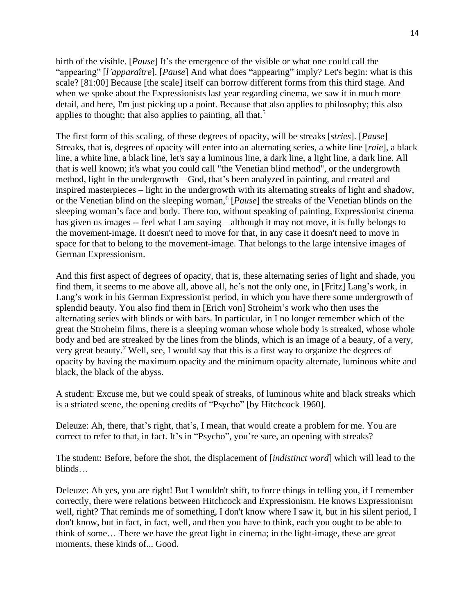birth of the visible. [*Pause*] It's the emergence of the visible or what one could call the "appearing" [*l'apparaître*]. [*Pause*] And what does "appearing" imply? Let's begin: what is this scale? [81:00] Because [the scale] itself can borrow different forms from this third stage. And when we spoke about the Expressionists last year regarding cinema, we saw it in much more detail, and here, I'm just picking up a point. Because that also applies to philosophy; this also applies to thought; that also applies to painting, all that.<sup>5</sup>

The first form of this scaling, of these degrees of opacity, will be streaks [*stries*]. [*Pause*] Streaks, that is, degrees of opacity will enter into an alternating series, a white line [*raie*], a black line, a white line, a black line, let's say a luminous line, a dark line, a light line, a dark line. All that is well known; it's what you could call "the Venetian blind method", or the undergrowth method, light in the undergrowth – God, that's been analyzed in painting, and created and inspired masterpieces – light in the undergrowth with its alternating streaks of light and shadow, or the Venetian blind on the sleeping woman, 6 [*Pause*] the streaks of the Venetian blinds on the sleeping woman's face and body. There too, without speaking of painting, Expressionist cinema has given us images -- feel what I am saying – although it may not move, it is fully belongs to the movement-image. It doesn't need to move for that, in any case it doesn't need to move in space for that to belong to the movement-image. That belongs to the large intensive images of German Expressionism.

And this first aspect of degrees of opacity, that is, these alternating series of light and shade, you find them, it seems to me above all, above all, he's not the only one, in [Fritz] Lang's work, in Lang's work in his German Expressionist period, in which you have there some undergrowth of splendid beauty. You also find them in [Erich von] Stroheim's work who then uses the alternating series with blinds or with bars. In particular, in I no longer remember which of the great the Stroheim films, there is a sleeping woman whose whole body is streaked, whose whole body and bed are streaked by the lines from the blinds, which is an image of a beauty, of a very, very great beauty.<sup>7</sup> Well, see, I would say that this is a first way to organize the degrees of opacity by having the maximum opacity and the minimum opacity alternate, luminous white and black, the black of the abyss.

A student: Excuse me, but we could speak of streaks, of luminous white and black streaks which is a striated scene, the opening credits of "Psycho" [by Hitchcock 1960].

Deleuze: Ah, there, that's right, that's, I mean, that would create a problem for me. You are correct to refer to that, in fact. It's in "Psycho", you're sure, an opening with streaks?

The student: Before, before the shot, the displacement of [*indistinct word*] which will lead to the blinds…

Deleuze: Ah yes, you are right! But I wouldn't shift, to force things in telling you, if I remember correctly, there were relations between Hitchcock and Expressionism. He knows Expressionism well, right? That reminds me of something, I don't know where I saw it, but in his silent period, I don't know, but in fact, in fact, well, and then you have to think, each you ought to be able to think of some… There we have the great light in cinema; in the light-image, these are great moments, these kinds of... Good.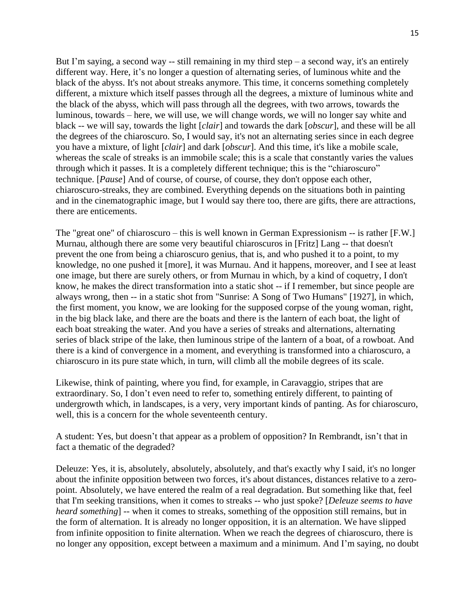But I'm saying, a second way -- still remaining in my third step  $-$  a second way, it's an entirely different way. Here, it's no longer a question of alternating series, of luminous white and the black of the abyss. It's not about streaks anymore. This time, it concerns something completely different, a mixture which itself passes through all the degrees, a mixture of luminous white and the black of the abyss, which will pass through all the degrees, with two arrows, towards the luminous, towards – here, we will use, we will change words, we will no longer say white and black -- we will say, towards the light [*clair*] and towards the dark [*obscur*], and these will be all the degrees of the chiaroscuro. So, I would say, it's not an alternating series since in each degree you have a mixture, of light [*clair*] and dark [*obscur*]. And this time, it's like a mobile scale, whereas the scale of streaks is an immobile scale; this is a scale that constantly varies the values through which it passes. It is a completely different technique; this is the "chiaroscuro" technique. [*Pause*] And of course, of course, of course, they don't oppose each other, chiaroscuro-streaks, they are combined. Everything depends on the situations both in painting and in the cinematographic image, but I would say there too, there are gifts, there are attractions, there are enticements.

The "great one" of chiaroscuro – this is well known in German Expressionism -- is rather [F.W.] Murnau, although there are some very beautiful chiaroscuros in [Fritz] Lang -- that doesn't prevent the one from being a chiaroscuro genius, that is, and who pushed it to a point, to my knowledge, no one pushed it [more], it was Murnau. And it happens, moreover, and I see at least one image, but there are surely others, or from Murnau in which, by a kind of coquetry, I don't know, he makes the direct transformation into a static shot -- if I remember, but since people are always wrong, then -- in a static shot from "Sunrise: A Song of Two Humans" [1927], in which, the first moment, you know, we are looking for the supposed corpse of the young woman, right, in the big black lake, and there are the boats and there is the lantern of each boat, the light of each boat streaking the water. And you have a series of streaks and alternations, alternating series of black stripe of the lake, then luminous stripe of the lantern of a boat, of a rowboat. And there is a kind of convergence in a moment, and everything is transformed into a chiaroscuro, a chiaroscuro in its pure state which, in turn, will climb all the mobile degrees of its scale.

Likewise, think of painting, where you find, for example, in Caravaggio, stripes that are extraordinary. So, I don't even need to refer to, something entirely different, to painting of undergrowth which, in landscapes, is a very, very important kinds of panting. As for chiaroscuro, well, this is a concern for the whole seventeenth century.

A student: Yes, but doesn't that appear as a problem of opposition? In Rembrandt, isn't that in fact a thematic of the degraded?

Deleuze: Yes, it is, absolutely, absolutely, absolutely, and that's exactly why I said, it's no longer about the infinite opposition between two forces, it's about distances, distances relative to a zeropoint. Absolutely, we have entered the realm of a real degradation. But something like that, feel that I'm seeking transitions, when it comes to streaks -- who just spoke? [*Deleuze seems to have heard something*] -- when it comes to streaks, something of the opposition still remains, but in the form of alternation. It is already no longer opposition, it is an alternation. We have slipped from infinite opposition to finite alternation. When we reach the degrees of chiaroscuro, there is no longer any opposition, except between a maximum and a minimum. And I'm saying, no doubt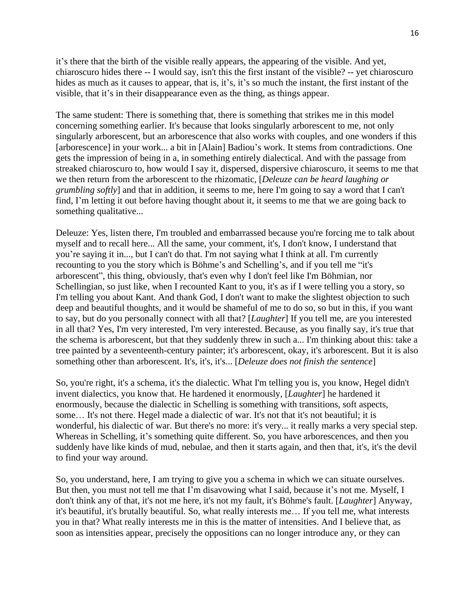it's there that the birth of the visible really appears, the appearing of the visible. And yet, chiaroscuro hides there -- I would say, isn't this the first instant of the visible? -- yet chiaroscuro hides as much as it causes to appear, that is, it's, it's so much the instant, the first instant of the visible, that it's in their disappearance even as the thing, as things appear.

The same student: There is something that, there is something that strikes me in this model concerning something earlier. It's because that looks singularly arborescent to me, not only singularly arborescent, but an arborescence that also works with couples, and one wonders if this [arborescence] in your work... a bit in [Alain] Badiou's work. It stems from contradictions. One gets the impression of being in a, in something entirely dialectical. And with the passage from streaked chiaroscuro to, how would I say it, dispersed, dispersive chiaroscuro, it seems to me that we then return from the arborescent to the rhizomatic, [*Deleuze can be heard laughing or grumbling softly*] and that in addition, it seems to me, here I'm going to say a word that I can't find, I'm letting it out before having thought about it, it seems to me that we are going back to something qualitative...

Deleuze: Yes, listen there, I'm troubled and embarrassed because you're forcing me to talk about myself and to recall here... All the same, your comment, it's, I don't know, I understand that you're saying it in..., but I can't do that. I'm not saying what I think at all. I'm currently recounting to you the story which is Böhme's and Schelling's, and if you tell me "it's arborescent", this thing, obviously, that's even why I don't feel like I'm Böhmian, nor Schellingian, so just like, when I recounted Kant to you, it's as if I were telling you a story, so I'm telling you about Kant. And thank God, I don't want to make the slightest objection to such deep and beautiful thoughts, and it would be shameful of me to do so, so but in this, if you want to say, but do you personally connect with all that? [*Laughter*] If you tell me, are you interested in all that? Yes, I'm very interested, I'm very interested. Because, as you finally say, it's true that the schema is arborescent, but that they suddenly threw in such a... I'm thinking about this: take a tree painted by a seventeenth-century painter; it's arborescent, okay, it's arborescent. But it is also something other than arborescent. It's, it's, it's... [*Deleuze does not finish the sentence*]

So, you're right, it's a schema, it's the dialectic. What I'm telling you is, you know, Hegel didn't invent dialectics, you know that. He hardened it enormously, [*Laughter*] he hardened it enormously, because the dialectic in Schelling is something with transitions, soft aspects, some… It's not there. Hegel made a dialectic of war. It's not that it's not beautiful; it is wonderful, his dialectic of war. But there's no more: it's very... it really marks a very special step. Whereas in Schelling, it's something quite different. So, you have arborescences, and then you suddenly have like kinds of mud, nebulae, and then it starts again, and then that, it's, it's the devil to find your way around.

So, you understand, here, I am trying to give you a schema in which we can situate ourselves. But then, you must not tell me that I'm disavowing what I said, because it's not me. Myself, I don't think any of that, it's not me here, it's not my fault, it's Böhme's fault. [*Laughter*] Anyway, it's beautiful, it's brutally beautiful. So, what really interests me… If you tell me, what interests you in that? What really interests me in this is the matter of intensities. And I believe that, as soon as intensities appear, precisely the oppositions can no longer introduce any, or they can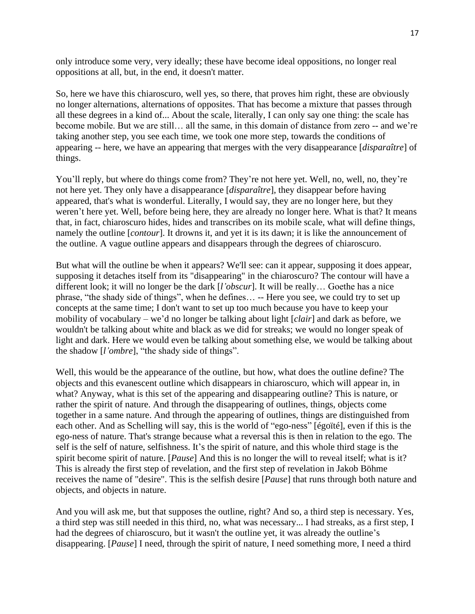only introduce some very, very ideally; these have become ideal oppositions, no longer real oppositions at all, but, in the end, it doesn't matter.

So, here we have this chiaroscuro, well yes, so there, that proves him right, these are obviously no longer alternations, alternations of opposites. That has become a mixture that passes through all these degrees in a kind of... About the scale, literally, I can only say one thing: the scale has become mobile. But we are still… all the same, in this domain of distance from zero -- and we're taking another step, you see each time, we took one more step, towards the conditions of appearing -- here, we have an appearing that merges with the very disappearance [*disparaître*] of things.

You'll reply, but where do things come from? They're not here yet. Well, no, well, no, they're not here yet. They only have a disappearance [*disparaître*], they disappear before having appeared, that's what is wonderful. Literally, I would say, they are no longer here, but they weren't here yet. Well, before being here, they are already no longer here. What is that? It means that, in fact, chiaroscuro hides, hides and transcribes on its mobile scale, what will define things, namely the outline [*contour*]. It drowns it, and yet it is its dawn; it is like the announcement of the outline. A vague outline appears and disappears through the degrees of chiaroscuro.

But what will the outline be when it appears? We'll see: can it appear, supposing it does appear, supposing it detaches itself from its "disappearing" in the chiaroscuro? The contour will have a different look; it will no longer be the dark [*l'obscur*]. It will be really… Goethe has a nice phrase, "the shady side of things", when he defines… -- Here you see, we could try to set up concepts at the same time; I don't want to set up too much because you have to keep your mobility of vocabulary – we'd no longer be talking about light [*clair*] and dark as before, we wouldn't be talking about white and black as we did for streaks; we would no longer speak of light and dark. Here we would even be talking about something else, we would be talking about the shadow [*l'ombre*], "the shady side of things".

Well, this would be the appearance of the outline, but how, what does the outline define? The objects and this evanescent outline which disappears in chiaroscuro, which will appear in, in what? Anyway, what is this set of the appearing and disappearing outline? This is nature, or rather the spirit of nature. And through the disappearing of outlines, things, objects come together in a same nature. And through the appearing of outlines, things are distinguished from each other. And as Schelling will say, this is the world of "ego-ness" [égoïté], even if this is the ego-ness of nature. That's strange because what a reversal this is then in relation to the ego. The self is the self of nature, selfishness. It's the spirit of nature, and this whole third stage is the spirit become spirit of nature. [*Pause*] And this is no longer the will to reveal itself; what is it? This is already the first step of revelation, and the first step of revelation in Jakob Böhme receives the name of "desire". This is the selfish desire [*Pause*] that runs through both nature and objects, and objects in nature.

And you will ask me, but that supposes the outline, right? And so, a third step is necessary. Yes, a third step was still needed in this third, no, what was necessary... I had streaks, as a first step, I had the degrees of chiaroscuro, but it wasn't the outline yet, it was already the outline's disappearing. [*Pause*] I need, through the spirit of nature, I need something more, I need a third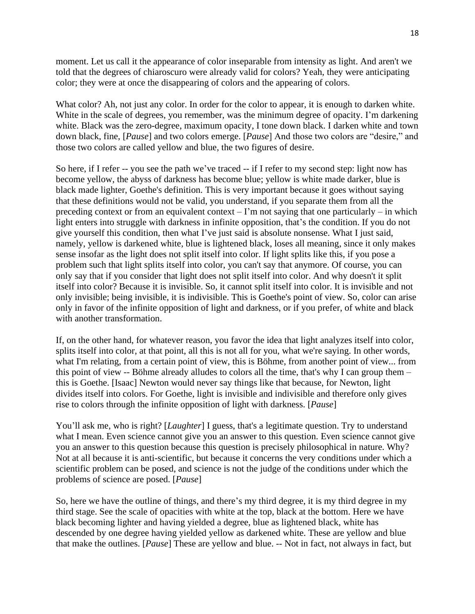moment. Let us call it the appearance of color inseparable from intensity as light. And aren't we told that the degrees of chiaroscuro were already valid for colors? Yeah, they were anticipating color; they were at once the disappearing of colors and the appearing of colors.

What color? Ah, not just any color. In order for the color to appear, it is enough to darken white. White in the scale of degrees, you remember, was the minimum degree of opacity. I'm darkening white. Black was the zero-degree, maximum opacity, I tone down black. I darken white and town down black, fine, [*Pause*] and two colors emerge. [*Pause*] And those two colors are "desire," and those two colors are called yellow and blue, the two figures of desire.

So here, if I refer -- you see the path we've traced -- if I refer to my second step: light now has become yellow, the abyss of darkness has become blue; yellow is white made darker, blue is black made lighter, Goethe's definition. This is very important because it goes without saying that these definitions would not be valid, you understand, if you separate them from all the preceding context or from an equivalent context – I'm not saying that one particularly – in which light enters into struggle with darkness in infinite opposition, that's the condition. If you do not give yourself this condition, then what I've just said is absolute nonsense. What I just said, namely, yellow is darkened white, blue is lightened black, loses all meaning, since it only makes sense insofar as the light does not split itself into color. If light splits like this, if you pose a problem such that light splits itself into color, you can't say that anymore. Of course, you can only say that if you consider that light does not split itself into color. And why doesn't it split itself into color? Because it is invisible. So, it cannot split itself into color. It is invisible and not only invisible; being invisible, it is indivisible. This is Goethe's point of view. So, color can arise only in favor of the infinite opposition of light and darkness, or if you prefer, of white and black with another transformation.

If, on the other hand, for whatever reason, you favor the idea that light analyzes itself into color, splits itself into color, at that point, all this is not all for you, what we're saying. In other words, what I'm relating, from a certain point of view, this is Böhme, from another point of view... from this point of view -- Böhme already alludes to colors all the time, that's why I can group them – this is Goethe. [Isaac] Newton would never say things like that because, for Newton, light divides itself into colors. For Goethe, light is invisible and indivisible and therefore only gives rise to colors through the infinite opposition of light with darkness. [*Pause*]

You'll ask me, who is right? [*Laughter*] I guess, that's a legitimate question. Try to understand what I mean. Even science cannot give you an answer to this question. Even science cannot give you an answer to this question because this question is precisely philosophical in nature. Why? Not at all because it is anti-scientific, but because it concerns the very conditions under which a scientific problem can be posed, and science is not the judge of the conditions under which the problems of science are posed. [*Pause*]

So, here we have the outline of things, and there's my third degree, it is my third degree in my third stage. See the scale of opacities with white at the top, black at the bottom. Here we have black becoming lighter and having yielded a degree, blue as lightened black, white has descended by one degree having yielded yellow as darkened white. These are yellow and blue that make the outlines. [*Pause*] These are yellow and blue. -- Not in fact, not always in fact, but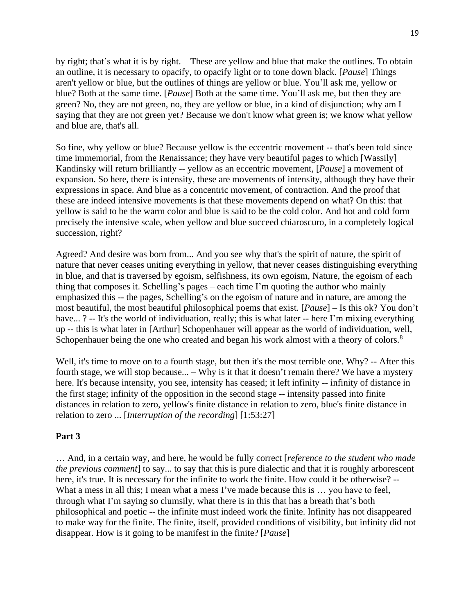by right; that's what it is by right. – These are yellow and blue that make the outlines. To obtain an outline, it is necessary to opacify, to opacify light or to tone down black. [*Pause*] Things aren't yellow or blue, but the outlines of things are yellow or blue. You'll ask me, yellow or blue? Both at the same time. [*Pause*] Both at the same time. You'll ask me, but then they are green? No, they are not green, no, they are yellow or blue, in a kind of disjunction; why am I saying that they are not green yet? Because we don't know what green is; we know what yellow and blue are, that's all.

So fine, why yellow or blue? Because yellow is the eccentric movement -- that's been told since time immemorial, from the Renaissance; they have very beautiful pages to which [Wassily] Kandinsky will return brilliantly -- yellow as an eccentric movement, [*Pause*] a movement of expansion. So here, there is intensity, these are movements of intensity, although they have their expressions in space. And blue as a concentric movement, of contraction. And the proof that these are indeed intensive movements is that these movements depend on what? On this: that yellow is said to be the warm color and blue is said to be the cold color. And hot and cold form precisely the intensive scale, when yellow and blue succeed chiaroscuro, in a completely logical succession, right?

Agreed? And desire was born from... And you see why that's the spirit of nature, the spirit of nature that never ceases uniting everything in yellow, that never ceases distinguishing everything in blue, and that is traversed by egoism, selfishness, its own egoism, Nature, the egoism of each thing that composes it. Schelling's pages – each time I'm quoting the author who mainly emphasized this -- the pages, Schelling's on the egoism of nature and in nature, are among the most beautiful, the most beautiful philosophical poems that exist. [*Pause*] – Is this ok? You don't have... ? -- It's the world of individuation, really; this is what later -- here I'm mixing everything up -- this is what later in [Arthur] Schopenhauer will appear as the world of individuation, well, Schopenhauer being the one who created and began his work almost with a theory of colors.<sup>8</sup>

Well, it's time to move on to a fourth stage, but then it's the most terrible one. Why? -- After this fourth stage, we will stop because... – Why is it that it doesn't remain there? We have a mystery here. It's because intensity, you see, intensity has ceased; it left infinity -- infinity of distance in the first stage; infinity of the opposition in the second stage -- intensity passed into finite distances in relation to zero, yellow's finite distance in relation to zero, blue's finite distance in relation to zero ... [*Interruption of the recording*] [1:53:27]

# **Part 3**

… And, in a certain way, and here, he would be fully correct [*reference to the student who made the previous comment*] to say... to say that this is pure dialectic and that it is roughly arborescent here, it's true. It is necessary for the infinite to work the finite. How could it be otherwise? -- What a mess in all this; I mean what a mess I've made because this is ... you have to feel, through what I'm saying so clumsily, what there is in this that has a breath that's both philosophical and poetic -- the infinite must indeed work the finite. Infinity has not disappeared to make way for the finite. The finite, itself, provided conditions of visibility, but infinity did not disappear. How is it going to be manifest in the finite? [*Pause*]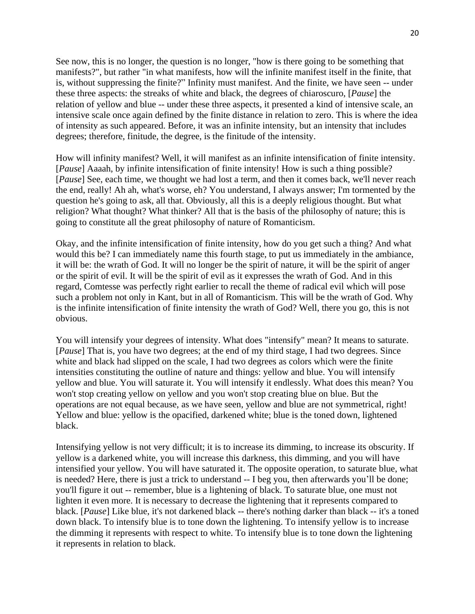See now, this is no longer, the question is no longer, "how is there going to be something that manifests?", but rather "in what manifests, how will the infinite manifest itself in the finite, that is, without suppressing the finite?" Infinity must manifest. And the finite, we have seen -- under these three aspects: the streaks of white and black, the degrees of chiaroscuro, [*Pause*] the relation of yellow and blue -- under these three aspects, it presented a kind of intensive scale, an intensive scale once again defined by the finite distance in relation to zero. This is where the idea of intensity as such appeared. Before, it was an infinite intensity, but an intensity that includes degrees; therefore, finitude, the degree, is the finitude of the intensity.

How will infinity manifest? Well, it will manifest as an infinite intensification of finite intensity. [*Pause*] Aaaah, by infinite intensification of finite intensity! How is such a thing possible? [*Pause*] See, each time, we thought we had lost a term, and then it comes back, we'll never reach the end, really! Ah ah, what's worse, eh? You understand, I always answer; I'm tormented by the question he's going to ask, all that. Obviously, all this is a deeply religious thought. But what religion? What thought? What thinker? All that is the basis of the philosophy of nature; this is going to constitute all the great philosophy of nature of Romanticism.

Okay, and the infinite intensification of finite intensity, how do you get such a thing? And what would this be? I can immediately name this fourth stage, to put us immediately in the ambiance, it will be: the wrath of God. It will no longer be the spirit of nature, it will be the spirit of anger or the spirit of evil. It will be the spirit of evil as it expresses the wrath of God. And in this regard, Comtesse was perfectly right earlier to recall the theme of radical evil which will pose such a problem not only in Kant, but in all of Romanticism. This will be the wrath of God. Why is the infinite intensification of finite intensity the wrath of God? Well, there you go, this is not obvious.

You will intensify your degrees of intensity. What does "intensify" mean? It means to saturate. [*Pause*] That is, you have two degrees; at the end of my third stage, I had two degrees. Since white and black had slipped on the scale, I had two degrees as colors which were the finite intensities constituting the outline of nature and things: yellow and blue. You will intensify yellow and blue. You will saturate it. You will intensify it endlessly. What does this mean? You won't stop creating yellow on yellow and you won't stop creating blue on blue. But the operations are not equal because, as we have seen, yellow and blue are not symmetrical, right! Yellow and blue: yellow is the opacified, darkened white; blue is the toned down, lightened black.

Intensifying yellow is not very difficult; it is to increase its dimming, to increase its obscurity. If yellow is a darkened white, you will increase this darkness, this dimming, and you will have intensified your yellow. You will have saturated it. The opposite operation, to saturate blue, what is needed? Here, there is just a trick to understand -- I beg you, then afterwards you'll be done; you'll figure it out -- remember, blue is a lightening of black. To saturate blue, one must not lighten it even more. It is necessary to decrease the lightening that it represents compared to black. [*Pause*] Like blue, it's not darkened black -- there's nothing darker than black -- it's a toned down black. To intensify blue is to tone down the lightening. To intensify yellow is to increase the dimming it represents with respect to white. To intensify blue is to tone down the lightening it represents in relation to black.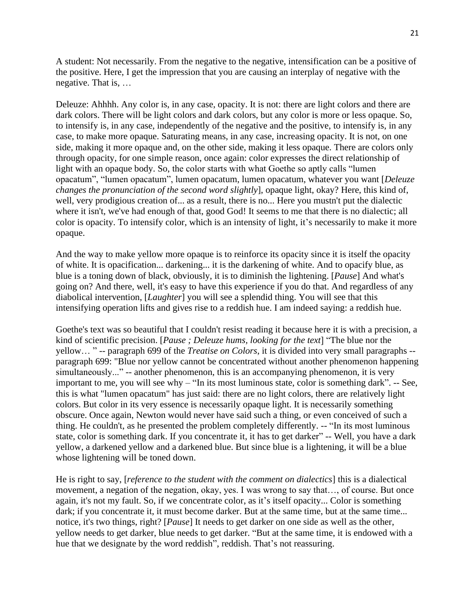A student: Not necessarily. From the negative to the negative, intensification can be a positive of the positive. Here, I get the impression that you are causing an interplay of negative with the negative. That is, …

Deleuze: Ahhhh. Any color is, in any case, opacity. It is not: there are light colors and there are dark colors. There will be light colors and dark colors, but any color is more or less opaque. So, to intensify is, in any case, independently of the negative and the positive, to intensify is, in any case, to make more opaque. Saturating means, in any case, increasing opacity. It is not, on one side, making it more opaque and, on the other side, making it less opaque. There are colors only through opacity, for one simple reason, once again: color expresses the direct relationship of light with an opaque body. So, the color starts with what Goethe so aptly calls "lumen opacatum", "lumen opacatum", lumen opacatum, lumen opacatum, whatever you want [*Deleuze changes the pronunciation of the second word slightly*], opaque light, okay? Here, this kind of, well, very prodigious creation of... as a result, there is no... Here you mustn't put the dialectic where it isn't, we've had enough of that, good God! It seems to me that there is no dialectic; all color is opacity. To intensify color, which is an intensity of light, it's necessarily to make it more opaque.

And the way to make yellow more opaque is to reinforce its opacity since it is itself the opacity of white. It is opacification... darkening... it is the darkening of white. And to opacify blue, as blue is a toning down of black, obviously, it is to diminish the lightening. [*Pause*] And what's going on? And there, well, it's easy to have this experience if you do that. And regardless of any diabolical intervention, [*Laughter*] you will see a splendid thing. You will see that this intensifying operation lifts and gives rise to a reddish hue. I am indeed saying: a reddish hue.

Goethe's text was so beautiful that I couldn't resist reading it because here it is with a precision, a kind of scientific precision. [*Pause ; Deleuze hums, looking for the text*] "The blue nor the yellow… " -- paragraph 699 of the *Treatise on Colors*, it is divided into very small paragraphs - paragraph 699: "Blue nor yellow cannot be concentrated without another phenomenon happening simultaneously..." -- another phenomenon, this is an accompanying phenomenon, it is very important to me, you will see why – "In its most luminous state, color is something dark". -- See, this is what "lumen opacatum" has just said: there are no light colors, there are relatively light colors. But color in its very essence is necessarily opaque light. It is necessarily something obscure. Once again, Newton would never have said such a thing, or even conceived of such a thing. He couldn't, as he presented the problem completely differently. -- "In its most luminous state, color is something dark. If you concentrate it, it has to get darker" -- Well, you have a dark yellow, a darkened yellow and a darkened blue. But since blue is a lightening, it will be a blue whose lightening will be toned down.

He is right to say, [*reference to the student with the comment on dialectics*] this is a dialectical movement, a negation of the negation, okay, yes. I was wrong to say that…, of course. But once again, it's not my fault. So, if we concentrate color, as it's itself opacity... Color is something dark; if you concentrate it, it must become darker. But at the same time, but at the same time... notice, it's two things, right? [*Pause*] It needs to get darker on one side as well as the other, yellow needs to get darker, blue needs to get darker. "But at the same time, it is endowed with a hue that we designate by the word reddish", reddish. That's not reassuring.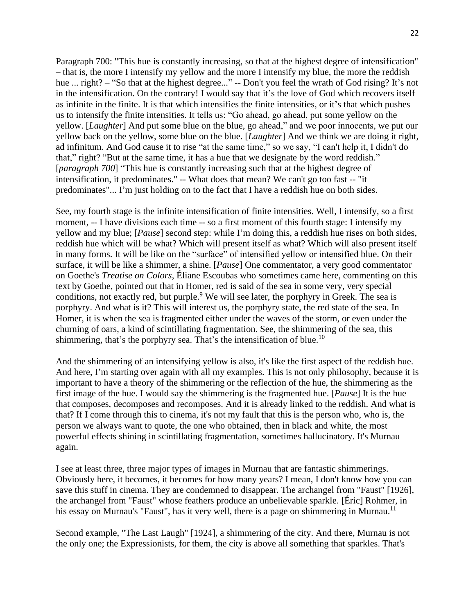Paragraph 700: "This hue is constantly increasing, so that at the highest degree of intensification" – that is, the more I intensify my yellow and the more I intensify my blue, the more the reddish hue ... right? – "So that at the highest degree..." -- Don't you feel the wrath of God rising? It's not in the intensification. On the contrary! I would say that it's the love of God which recovers itself as infinite in the finite. It is that which intensifies the finite intensities, or it's that which pushes us to intensify the finite intensities. It tells us: "Go ahead, go ahead, put some yellow on the yellow. [*Laughter*] And put some blue on the blue, go ahead," and we poor innocents, we put our yellow back on the yellow, some blue on the blue. [*Laughter*] And we think we are doing it right, ad infinitum. And God cause it to rise "at the same time," so we say, "I can't help it, I didn't do that," right? "But at the same time, it has a hue that we designate by the word reddish." [*paragraph 700*] "This hue is constantly increasing such that at the highest degree of intensification, it predominates." -- What does that mean? We can't go too fast -- "it predominates"... I'm just holding on to the fact that I have a reddish hue on both sides.

See, my fourth stage is the infinite intensification of finite intensities. Well, I intensify, so a first moment, -- I have divisions each time -- so a first moment of this fourth stage: I intensify my yellow and my blue; [*Pause*] second step: while I'm doing this, a reddish hue rises on both sides, reddish hue which will be what? Which will present itself as what? Which will also present itself in many forms. It will be like on the "surface" of intensified yellow or intensified blue. On their surface, it will be like a shimmer, a shine. [*Pause*] One commentator, a very good commentator on Goethe's *Treatise on Colors*, Éliane Escoubas who sometimes came here, commenting on this text by Goethe, pointed out that in Homer, red is said of the sea in some very, very special conditions, not exactly red, but purple.<sup>9</sup> We will see later, the porphyry in Greek. The sea is porphyry. And what is it? This will interest us, the porphyry state, the red state of the sea. In Homer, it is when the sea is fragmented either under the waves of the storm, or even under the churning of oars, a kind of scintillating fragmentation. See, the shimmering of the sea, this shimmering, that's the porphyry sea. That's the intensification of blue.<sup>10</sup>

And the shimmering of an intensifying yellow is also, it's like the first aspect of the reddish hue. And here, I'm starting over again with all my examples. This is not only philosophy, because it is important to have a theory of the shimmering or the reflection of the hue, the shimmering as the first image of the hue. I would say the shimmering is the fragmented hue. [*Pause*] It is the hue that composes, decomposes and recomposes. And it is already linked to the reddish. And what is that? If I come through this to cinema, it's not my fault that this is the person who, who is, the person we always want to quote, the one who obtained, then in black and white, the most powerful effects shining in scintillating fragmentation, sometimes hallucinatory. It's Murnau again.

I see at least three, three major types of images in Murnau that are fantastic shimmerings. Obviously here, it becomes, it becomes for how many years? I mean, I don't know how you can save this stuff in cinema. They are condemned to disappear. The archangel from "Faust" [1926], the archangel from "Faust" whose feathers produce an unbelievable sparkle. [Éric] Rohmer, in his essay on Murnau's "Faust", has it very well, there is a page on shimmering in Murnau.<sup>11</sup>

Second example, "The Last Laugh" [1924], a shimmering of the city. And there, Murnau is not the only one; the Expressionists, for them, the city is above all something that sparkles. That's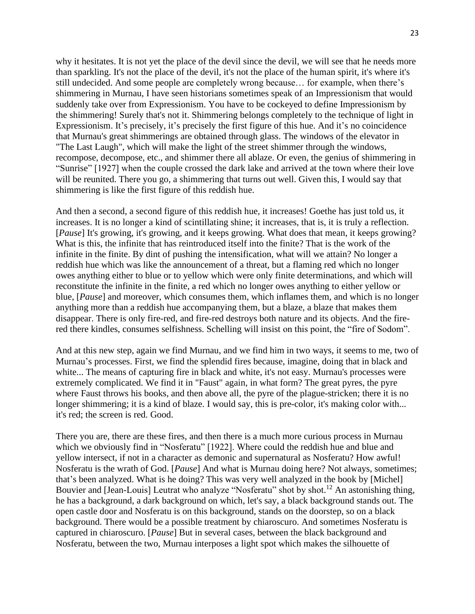why it hesitates. It is not yet the place of the devil since the devil, we will see that he needs more than sparkling. It's not the place of the devil, it's not the place of the human spirit, it's where it's still undecided. And some people are completely wrong because… for example, when there's shimmering in Murnau, I have seen historians sometimes speak of an Impressionism that would suddenly take over from Expressionism. You have to be cockeyed to define Impressionism by the shimmering! Surely that's not it. Shimmering belongs completely to the technique of light in Expressionism. It's precisely, it's precisely the first figure of this hue. And it's no coincidence that Murnau's great shimmerings are obtained through glass. The windows of the elevator in "The Last Laugh", which will make the light of the street shimmer through the windows, recompose, decompose, etc., and shimmer there all ablaze. Or even, the genius of shimmering in "Sunrise" [1927] when the couple crossed the dark lake and arrived at the town where their love will be reunited. There you go, a shimmering that turns out well. Given this, I would say that shimmering is like the first figure of this reddish hue.

And then a second, a second figure of this reddish hue, it increases! Goethe has just told us, it increases. It is no longer a kind of scintillating shine; it increases, that is, it is truly a reflection. [*Pause*] It's growing, it's growing, and it keeps growing. What does that mean, it keeps growing? What is this, the infinite that has reintroduced itself into the finite? That is the work of the infinite in the finite. By dint of pushing the intensification, what will we attain? No longer a reddish hue which was like the announcement of a threat, but a flaming red which no longer owes anything either to blue or to yellow which were only finite determinations, and which will reconstitute the infinite in the finite, a red which no longer owes anything to either yellow or blue, [*Pause*] and moreover, which consumes them, which inflames them, and which is no longer anything more than a reddish hue accompanying them, but a blaze, a blaze that makes them disappear. There is only fire-red, and fire-red destroys both nature and its objects. And the firered there kindles, consumes selfishness. Schelling will insist on this point, the "fire of Sodom".

And at this new step, again we find Murnau, and we find him in two ways, it seems to me, two of Murnau's processes. First, we find the splendid fires because, imagine, doing that in black and white... The means of capturing fire in black and white, it's not easy. Murnau's processes were extremely complicated. We find it in "Faust" again, in what form? The great pyres, the pyre where Faust throws his books, and then above all, the pyre of the plague-stricken; there it is no longer shimmering; it is a kind of blaze. I would say, this is pre-color, it's making color with... it's red; the screen is red. Good.

There you are, there are these fires, and then there is a much more curious process in Murnau which we obviously find in "Nosferatu" [1922]. Where could the reddish hue and blue and yellow intersect, if not in a character as demonic and supernatural as Nosferatu? How awful! Nosferatu is the wrath of God. [*Pause*] And what is Murnau doing here? Not always, sometimes; that's been analyzed. What is he doing? This was very well analyzed in the book by [Michel] Bouvier and [Jean-Louis] Leutrat who analyze "Nosferatu" shot by shot.<sup>12</sup> An astonishing thing, he has a background, a dark background on which, let's say, a black background stands out. The open castle door and Nosferatu is on this background, stands on the doorstep, so on a black background. There would be a possible treatment by chiaroscuro. And sometimes Nosferatu is captured in chiaroscuro. [*Pause*] But in several cases, between the black background and Nosferatu, between the two, Murnau interposes a light spot which makes the silhouette of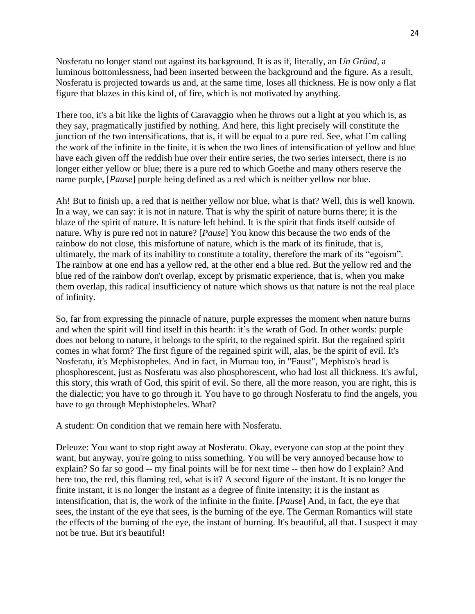Nosferatu no longer stand out against its background. It is as if, literally, an *Un Gründ*, a luminous bottomlessness, had been inserted between the background and the figure. As a result, Nosferatu is projected towards us and, at the same time, loses all thickness. He is now only a flat figure that blazes in this kind of, of fire, which is not motivated by anything.

There too, it's a bit like the lights of Caravaggio when he throws out a light at you which is, as they say, pragmatically justified by nothing. And here, this light precisely will constitute the junction of the two intensifications, that is, it will be equal to a pure red. See, what I'm calling the work of the infinite in the finite, it is when the two lines of intensification of yellow and blue have each given off the reddish hue over their entire series, the two series intersect, there is no longer either yellow or blue; there is a pure red to which Goethe and many others reserve the name purple, [*Pause*] purple being defined as a red which is neither yellow nor blue.

Ah! But to finish up, a red that is neither yellow nor blue, what is that? Well, this is well known. In a way, we can say: it is not in nature. That is why the spirit of nature burns there; it is the blaze of the spirit of nature. It is nature left behind. It is the spirit that finds itself outside of nature. Why is pure red not in nature? [*Pause*] You know this because the two ends of the rainbow do not close, this misfortune of nature, which is the mark of its finitude, that is, ultimately, the mark of its inability to constitute a totality, therefore the mark of its "egoism". The rainbow at one end has a yellow red, at the other end a blue red. But the yellow red and the blue red of the rainbow don't overlap, except by prismatic experience, that is, when you make them overlap, this radical insufficiency of nature which shows us that nature is not the real place of infinity.

So, far from expressing the pinnacle of nature, purple expresses the moment when nature burns and when the spirit will find itself in this hearth: it's the wrath of God. In other words: purple does not belong to nature, it belongs to the spirit, to the regained spirit. But the regained spirit comes in what form? The first figure of the regained spirit will, alas, be the spirit of evil. It's Nosferatu, it's Mephistopheles. And in fact, in Murnau too, in "Faust", Mephisto's head is phosphorescent, just as Nosferatu was also phosphorescent, who had lost all thickness. It's awful, this story, this wrath of God, this spirit of evil. So there, all the more reason, you are right, this is the dialectic; you have to go through it. You have to go through Nosferatu to find the angels, you have to go through Mephistopheles. What?

A student: On condition that we remain here with Nosferatu.

Deleuze: You want to stop right away at Nosferatu. Okay, everyone can stop at the point they want, but anyway, you're going to miss something. You will be very annoyed because how to explain? So far so good -- my final points will be for next time -- then how do I explain? And here too, the red, this flaming red, what is it? A second figure of the instant. It is no longer the finite instant, it is no longer the instant as a degree of finite intensity; it is the instant as intensification, that is, the work of the infinite in the finite. [*Pause*] And, in fact, the eye that sees, the instant of the eye that sees, is the burning of the eye. The German Romantics will state the effects of the burning of the eye, the instant of burning. It's beautiful, all that. I suspect it may not be true. But it's beautiful!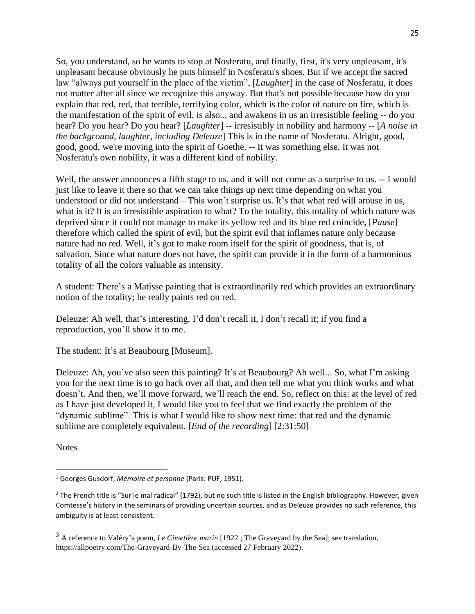So, you understand, so he wants to stop at Nosferatu, and finally, first, it's very unpleasant, it's unpleasant because obviously he puts himself in Nosferatu's shoes. But if we accept the sacred law "always put yourself in the place of the victim", [*Laughter*] in the case of Nosferatu, it does not matter after all since we recognize this anyway. But that's not possible because how do you explain that red, red, that terrible, terrifying color, which is the color of nature on fire, which is the manifestation of the spirit of evil, is also... and awakens in us an irresistible feeling -- do you hear? Do you hear? Do you hear? [*Laughter*] -- irresistibly in nobility and harmony -- [*A noise in the background, laughter, including Deleuze*] This is in the name of Nosferatu. Alright, good, good, good, we're moving into the spirit of Goethe. -- It was something else. It was not Nosferatu's own nobility, it was a different kind of nobility.

Well, the answer announces a fifth stage to us, and it will not come as a surprise to us. -- I would just like to leave it there so that we can take things up next time depending on what you understood or did not understand – This won't surprise us. It's that what red will arouse in us, what is it? It is an irresistible aspiration to what? To the totality, this totality of which nature was deprived since it could not manage to make its yellow red and its blue red coincide, [*Pause*] therefore which called the spirit of evil, but the spirit evil that inflames nature only because nature had no red. Well, it's got to make room itself for the spirit of goodness, that is, of salvation. Since what nature does not have, the spirit can provide it in the form of a harmonious totality of all the colors valuable as intensity.

A student: There's a Matisse painting that is extraordinarily red which provides an extraordinary notion of the totality; he really paints red on red.

Deleuze: Ah well, that's interesting. I'd don't recall it, I don't recall it; if you find a reproduction, you'll show it to me.

The student: It's at Beaubourg [Museum].

Deleuze: Ah, you've also seen this painting? It's at Beaubourg? Ah well... So, what I'm asking you for the next time is to go back over all that, and then tell me what you think works and what doesn't. And then, we'll move forward, we'll reach the end. So, reflect on this: at the level of red as I have just developed it, I would like you to feel that we find exactly the problem of the "dynamic sublime". This is what I would like to show next time: that red and the dynamic sublime are completely equivalent. [*End of the recording*] [2:31:50]

**Notes** 

<sup>1</sup> Georges Gusdorf, *Mémoire et personne* (Paris: PUF, 1951).

 $2$  The French title is "Sur le mal radical" (1792), but no such title is listed in the English bibliography. However, given Comtesse's history in the seminars of providing uncertain sources, and as Deleuze provides no such reference, this ambiguity is at least consistent.

<sup>3</sup> A reference to Valéry's poem, *Le Cimetière marin* [1922 ; The Graveyard by the Sea]; see translation, https://allpoetry.com/The-Graveyard-By-The-Sea (accessed 27 February 2022).